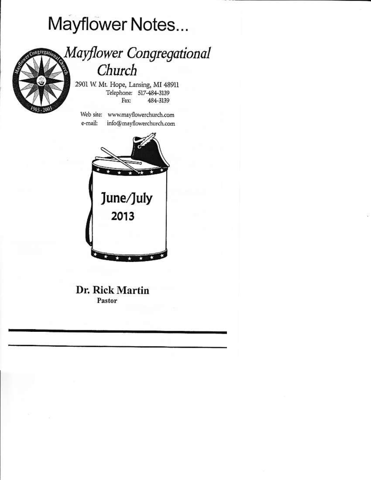# Mayflower Notes...



## Mayflower Congregational Church

2901 W. Mt. Hope, Lansing, MI 48911 Telephone: 517-484-3139 Fax: 484-3139

Web site: www.mayflowerchurch.com e-mail: info@mayflowerchurch.com



Dr. Rick Martin Pastor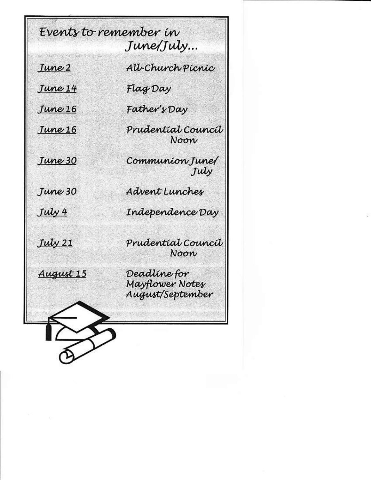Events to remember in June/July... All-Church Picnic June 2 June 14 Flag Day Father's Day Tune 16 Prudential Council Tune 16 Noon Tune 30 Communion June July Advent Lunches Tune 30 July 4 Independence Day **July 21** Prudential Council Noon August 15 Deadline for Mayflower Notes August/September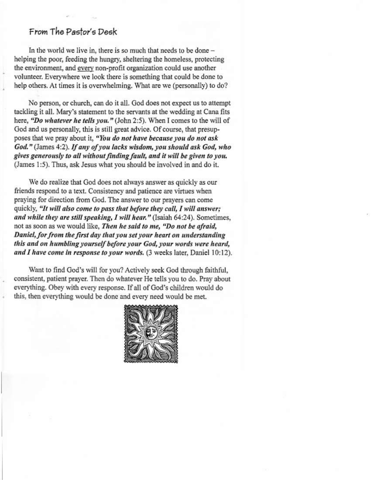#### From The Pastor's Desk

In the world we live in, there is so much that needs to be done helping the poor, feeding the hungry, sheltering the homeless, protecting the environment, and every non-profit organization could use another volunteer. Everywhere we look there is something that could be done to help others. At times it is overwhelming. What are we (personally) to do?

No person, or church, can do it all. God does not expect us to attempt tackling it all. Mary's statement to the servants at the wedding at Cana fits here, "Do whatever he tells you." (John 2:5). When I comes to the will of God and us personally, this is still great advice. Of course, that presupposes that we pray about it, "You do not have because you do not ask God." (James 4:2). If any of you lacks wisdom, you should ask God, who gives generously to all without finding fault, and it will be given to you. (James 1:5). Thus, ask Jesus what you should be involved in and do it.

We do realize that God does not always answer as quickly as our friends respond to a text. Consistency and patience are virtues when praying for direction from God. The answer to our prayers can come quickly, "It will also come to pass that before they call, I will answer; and while they are still speaking, I will hear." (Isaiah 64:24). Sometimes, not as soon as we would like, Then he said to me, "Do not be afraid, Daniel, for from the first day that you set your heart on understanding this and on humbling yourself before your God, your words were heard, and I have come in response to your words. (3 weeks later, Daniel 10:12).

Want to find God's will for you? Actively seek God through faithful, consistent, patient prayer. Then do whatever He tells you to do. Pray about everything. Obey with every response. If all of God's children would do this, then everything would be done and every need would be met.

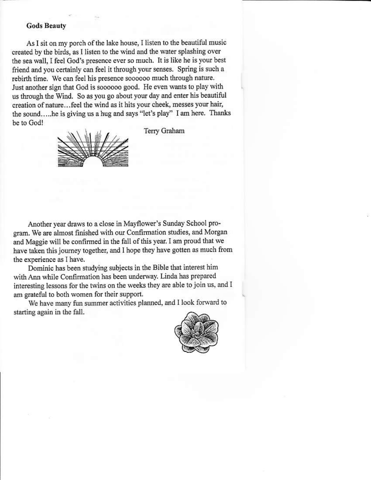#### **Gods Beauty**

As I sit on my porch of the lake house, I listen to the beautiful music created by the birds, as I listen to the wind and the water splashing over the sea wall, I feel God's presence ever so much. It is like he is your best friend and you certainly can feel it through your senses. Spring is such a rebirth time. We can feel his presence soooooo much through nature. Just another sign that God is soooooo good. He even wants to play with us through the Wind. So as you go about your day and enter his beautiful creation of nature...feel the wind as it hits your cheek, messes your hair, the sound.....he is giving us a hug and says "let's play" I am here. Thanks he to God!



Terry Graham

Another year draws to a close in Mayflower's Sunday School program. We are almost finished with our Confirmation studies, and Morgan and Maggie will be confirmed in the fall of this year. I am proud that we have taken this journey together, and I hope they have gotten as much from the experience as I have.

Dominic has been studying subjects in the Bible that interest him with Ann while Confirmation has been underway. Linda has prepared interesting lessons for the twins on the weeks they are able to join us, and I am grateful to both women for their support.

We have many fun summer activities planned, and I look forward to starting again in the fall.

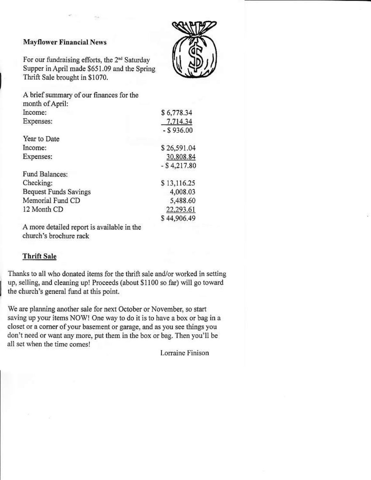#### **Mayflower Financial News**

For our fundraising efforts, the 2<sup>nd</sup> Saturday Supper in April made \$651.09 and the Spring Thrift Sale brought in \$1070.



| A brief summary of our finances for the |                |
|-----------------------------------------|----------------|
| month of April:                         |                |
| Income:                                 | \$6,778.34     |
| Expenses:                               | 7.714.34       |
|                                         | $-$ \$936.00   |
| Year to Date                            |                |
| Income:                                 | \$26,591.04    |
| Expenses:                               | 30,808.84      |
|                                         | $-$ \$4,217.80 |
| Fund Balances:                          |                |
| Checking:                               | \$13,116.25    |
| <b>Bequest Funds Savings</b>            | 4,008.03       |
| Memorial Fund CD                        | 5,488.60       |
| 12 Month CD                             | 22,293.61      |
|                                         | 44,906.49      |
|                                         |                |

A more detailed report is available in the church's brochure rack

#### **Thrift Sale**

Thanks to all who donated items for the thrift sale and/or worked in setting up, selling, and cleaning up! Proceeds (about \$1100 so far) will go toward the church's general fund at this point.

We are planning another sale for next October or November, so start saving up your items NOW! One way to do it is to have a box or bag in a closet or a corner of your basement or garage, and as you see things you don't need or want any more, put them in the box or bag. Then you'll be all set when the time comes!

Lorraine Finison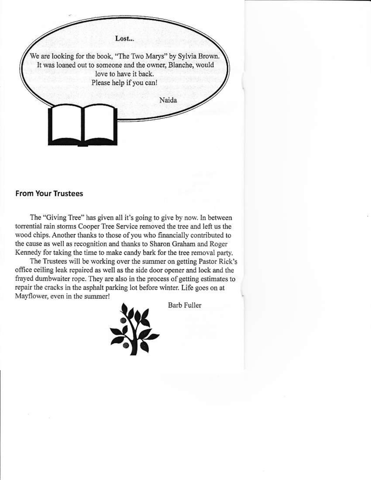

#### **From Your Trustees**

The "Giving Tree" has given all it's going to give by now. In between torrential rain storms Cooper Tree Service removed the tree and left us the wood chips. Another thanks to those of you who financially contributed to the cause as well as recognition and thanks to Sharon Graham and Roger Kennedy for taking the time to make candy bark for the tree removal party.

The Trustees will be working over the summer on getting Pastor Rick's office ceiling leak repaired as well as the side door opener and lock and the frayed dumbwaiter rope. They are also in the process of getting estimates to repair the cracks in the asphalt parking lot before winter. Life goes on at Mayflower, even in the summer!

**Barb Fuller**